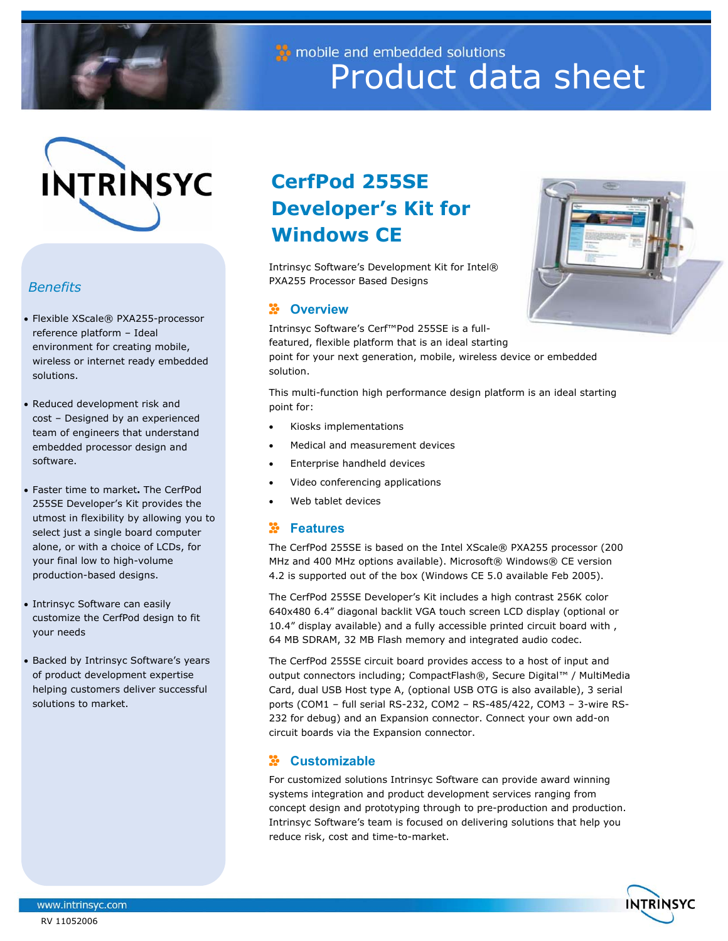

mobile and embedded solutions Product data sheet



# *Benefits*

- Flexible XScale® PXA255-processor reference platform – Ideal environment for creating mobile, wireless or internet ready embedded solutions.
- Reduced development risk and cost – Designed by an experienced team of engineers that understand embedded processor design and software.
- Faster time to market**.** The CerfPod 255SE Developer's Kit provides the utmost in flexibility by allowing you to select just a single board computer alone, or with a choice of LCDs, for your final low to high-volume production-based designs.
- Intrinsyc Software can easily customize the CerfPod design to fit your needs
- Backed by Intrinsyc Software's years of product development expertise helping customers deliver successful solutions to market.

# **CerfPod 255SE Developer's Kit for Windows CE**

Intrinsyc Software's Development Kit for Intel® PXA255 Processor Based Designs

### **E** Overview

Intrinsyc Software's Cerf™Pod 255SE is a fullfeatured, flexible platform that is an ideal starting point for your next generation, mobile, wireless device or embedded solution.

This multi-function high performance design platform is an ideal starting point for:

- Kiosks implementations
- Medical and measurement devices
- Enterprise handheld devices
- Video conferencing applications
- Web tablet devices

### **Natures**

The CerfPod 255SE is based on the Intel XScale® PXA255 processor (200 MHz and 400 MHz options available). Microsoft® Windows® CE version 4.2 is supported out of the box (Windows CE 5.0 available Feb 2005).

The CerfPod 255SE Developer's Kit includes a high contrast 256K color 640x480 6.4" diagonal backlit VGA touch screen LCD display (optional or 10.4" display available) and a fully accessible printed circuit board with , 64 MB SDRAM, 32 MB Flash memory and integrated audio codec.

The CerfPod 255SE circuit board provides access to a host of input and output connectors including; CompactFlash®, Secure Digital™ / MultiMedia Card, dual USB Host type A, (optional USB OTG is also available), 3 serial ports (COM1 – full serial RS-232, COM2 – RS-485/422, COM3 – 3-wire RS-232 for debug) and an Expansion connector. Connect your own add-on circuit boards via the Expansion connector.

## **Customizable**

For customized solutions Intrinsyc Software can provide award winning systems integration and product development services ranging from concept design and prototyping through to pre-production and production. Intrinsyc Software's team is focused on delivering solutions that help you reduce risk, cost and time-to-market.